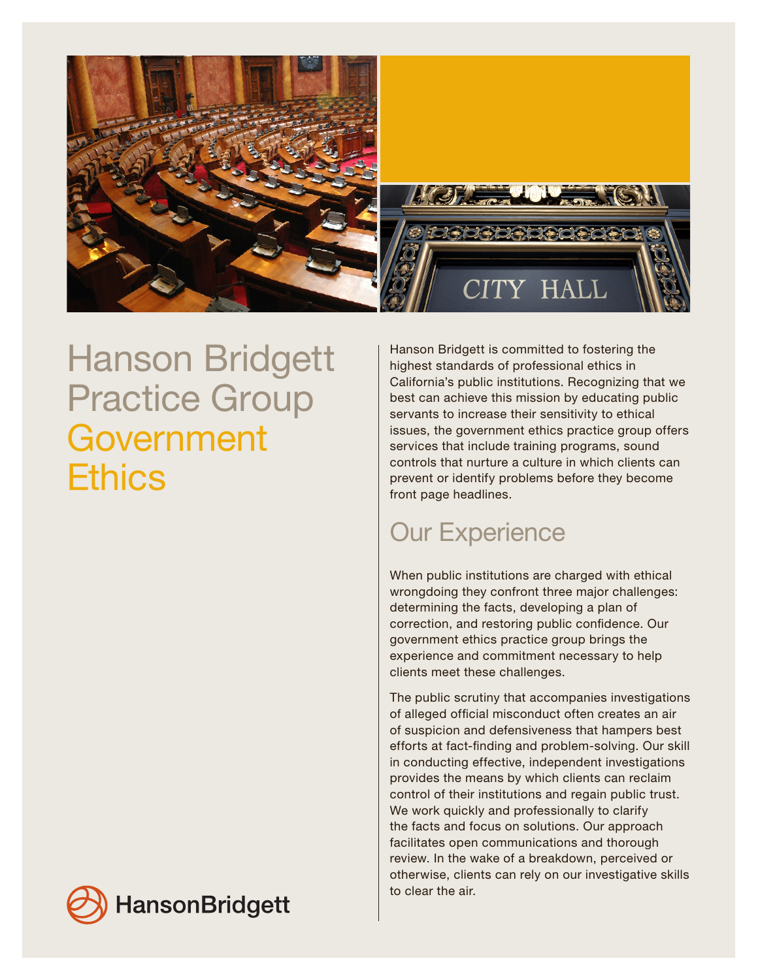

## Hanson Bridgett Practice Group Government **Ethics**

Hanson Bridgett is committed to fostering the highest standards of professional ethics in California's public institutions. Recognizing that we best can achieve this mission by educating public servants to increase their sensitivity to ethical issues, the government ethics practice group offers services that include training programs, sound controls that nurture a culture in which clients can prevent or identify problems before they become front page headlines.

## Our Experience

When public institutions are charged with ethical wrongdoing they confront three major challenges: determining the facts, developing a plan of correction, and restoring public confidence. Our government ethics practice group brings the experience and commitment necessary to help clients meet these challenges.

The public scrutiny that accompanies investigations of alleged official misconduct often creates an air of suspicion and defensiveness that hampers best efforts at fact-finding and problem-solving. Our skill in conducting effective, independent investigations provides the means by which clients can reclaim control of their institutions and regain public trust. We work quickly and professionally to clarify the facts and focus on solutions. Our approach facilitates open communications and thorough review. In the wake of a breakdown, perceived or otherwise, clients can rely on our investigative skills to clear the air.